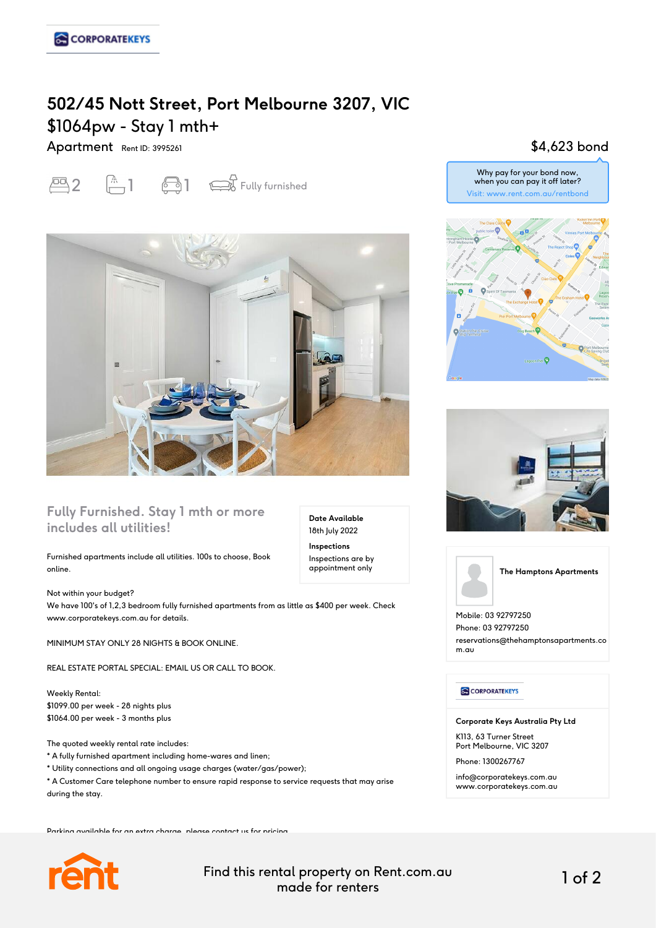# **502/45 Nott Street, Port Melbourne 3207, VIC** \$1064pw - Stay 1 mth+

Apartment Rent ID: 3995261

 $\overline{2}$   $\overline{1}$   $\overline{3}$   $\overline{4}$  Fully furnished



### **Fully Furnished. Stay 1 mth or more includes all utilities!**

Furnished apartments include all utilities. 100s to choose, Book online.

Not within your budget? We have 100's of 1,2,3 bedroom fully furnished apartments from as little as \$400 per week. Check www.corporatekeys.com.au for details.

MINIMUM STAY ONLY 28 NIGHTS & BOOK ONLINE.

REAL ESTATE PORTAL SPECIAL: EMAIL US OR CALL TO BOOK.

Weekly Rental: \$1099.00 per week - 28 nights plus \$1064.00 per week - 3 months plus

The quoted weekly rental rate includes:

- \* A fully furnished apartment including home-wares and linen;
- \* Utility connections and all ongoing usage charges (water/gas/power);
- \* A Customer Care telephone number to ensure rapid response to service requests that may arise during the stay.

Parking available for an extra charge, please contact us for pricing.



Find this rental property on Rent.com.au made for renters 1 of 2

**Date Available** 18th July 2022 **Inspections** Inspections are by appointment only

## \$4,623 bond









**The Hamptons Apartments**

Mobile: 03 92797250 Phone: 03 92797250 reservations@thehamptonsapartments.co m.au

**CORPORATEKEYS** 

**Corporate Keys Australia Pty Ltd**

K113, 63 Turner Street Port Melbourne, VIC 3207

Phone: 1300267767

info@corporatekeys.com.au www.corporatekeys.com.au